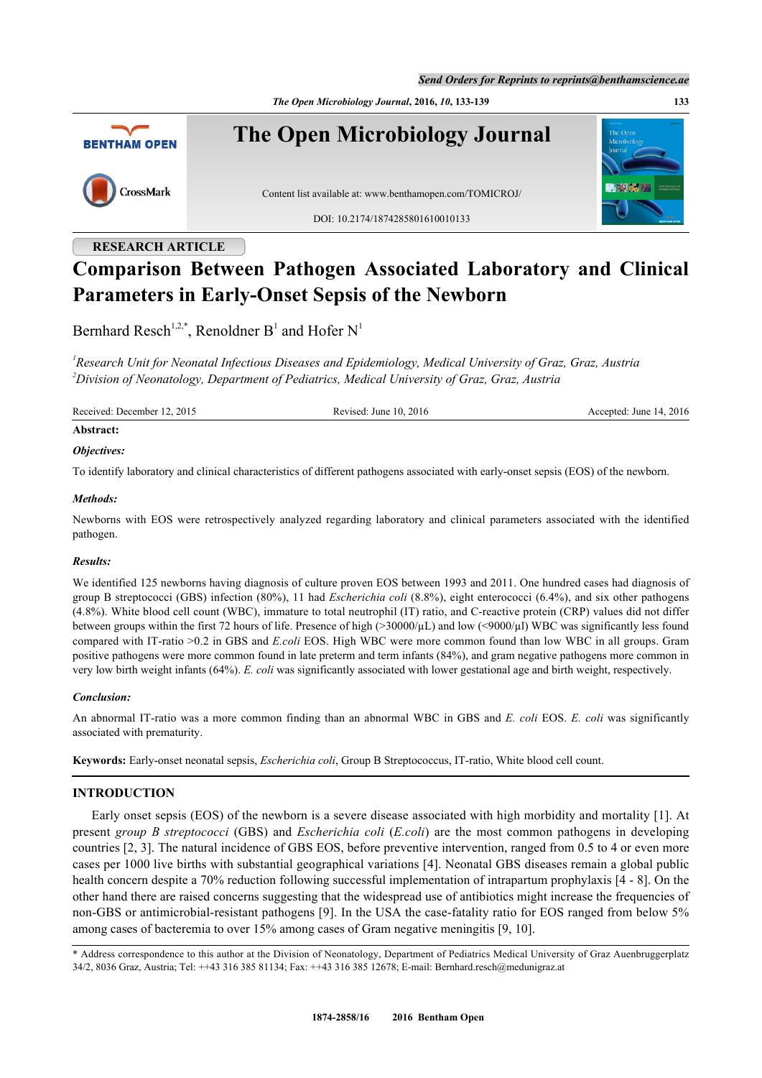*Send Orders for Reprints to reprints@benthamscience.ae*

*The Open Microbiology Journal***, 2016,** *10***, 133-139 133**



# **RESEARCH ARTICLE**

# **Comparison Between Pathogen Associated Laboratory and Clinical Parameters in Early-Onset Sepsis of the Newborn**

Bernhard Resch<sup>[1,](#page-0-0)[2,](#page-0-1)[\\*](#page-0-2)</sup>, Renoldner B<sup>[1](#page-0-0)</sup> and Hofer N<sup>1</sup>

<span id="page-0-1"></span><span id="page-0-0"></span>*1 Research Unit for Neonatal Infectious Diseases and Epidemiology, Medical University of Graz, Graz, Austria <sup>2</sup>Division of Neonatology, Department of Pediatrics, Medical University of Graz, Graz, Austria*

Received: December 12, 2015 Revised: June 10, 2016 Revised: June 14, 2016 Accepted: June 14, 2016 **Abstract:**

# *Objectives:*

To identify laboratory and clinical characteristics of different pathogens associated with early-onset sepsis (EOS) of the newborn.

# *Methods:*

Newborns with EOS were retrospectively analyzed regarding laboratory and clinical parameters associated with the identified pathogen.

# *Results:*

We identified 125 newborns having diagnosis of culture proven EOS between 1993 and 2011. One hundred cases had diagnosis of group B streptococci (GBS) infection (80%), 11 had *Escherichia coli* (8.8%), eight enterococci (6.4%), and six other pathogens (4.8%). White blood cell count (WBC), immature to total neutrophil (IT) ratio, and C-reactive protein (CRP) values did not differ between groups within the first 72 hours of life. Presence of high (>30000/µL) and low (<9000/µl) WBC was significantly less found compared with IT-ratio >0.2 in GBS and *E.coli* EOS. High WBC were more common found than low WBC in all groups. Gram positive pathogens were more common found in late preterm and term infants (84%), and gram negative pathogens more common in very low birth weight infants (64%). *E. coli* was significantly associated with lower gestational age and birth weight, respectively.

# *Conclusion:*

An abnormal IT-ratio was a more common finding than an abnormal WBC in GBS and *E. coli* EOS. *E. coli* was significantly associated with prematurity.

**Keywords:** Early-onset neonatal sepsis, *Escherichia coli*, Group B Streptococcus, IT-ratio, White blood cell count.

# **INTRODUCTION**

Early onset sepsis (EOS) of the newborn is a severe disease associated with high morbidity and mortality [\[1\]](#page-5-0). At present *group B streptococci* (GBS) and *Escherichia coli* (*E.coli*) are the most common pathogens in developing countries [[2,](#page-5-1) [3](#page-5-2)]. The natural incidence of GBS EOS, before preventive intervention, ranged from 0.5 to 4 or even more cases per 1000 live births with substantial geographical variations [[4](#page-5-3)]. Neonatal GBS diseases remain a global public health concern despite a 70% reduction following successful implementation of intrapartum prophylaxis [\[4](#page-5-3) - [8\]](#page-5-4). On the other hand there are raised concerns suggesting that the widespread use of antibiotics might increase the frequencies of non-GBS or antimicrobial-resistant pathogens [[9\]](#page-5-5). In the USA the case-fatality ratio for EOS ranged from below 5% among cases of bacteremia to over 15% among cases of Gram negative meningitis [\[9](#page-5-5), [10](#page-5-6)].

<span id="page-0-2"></span>\* Address correspondence to this author at the Division of Neonatology, Department of Pediatrics Medical University of Graz Auenbruggerplatz 34/2, 8036 Graz, Austria; Tel: ++43 316 385 81134; Fax: ++43 316 385 12678; E-mail: [Bernhard.resch@medunigraz.at](mailto:Bernhard.resch@medunigraz.at)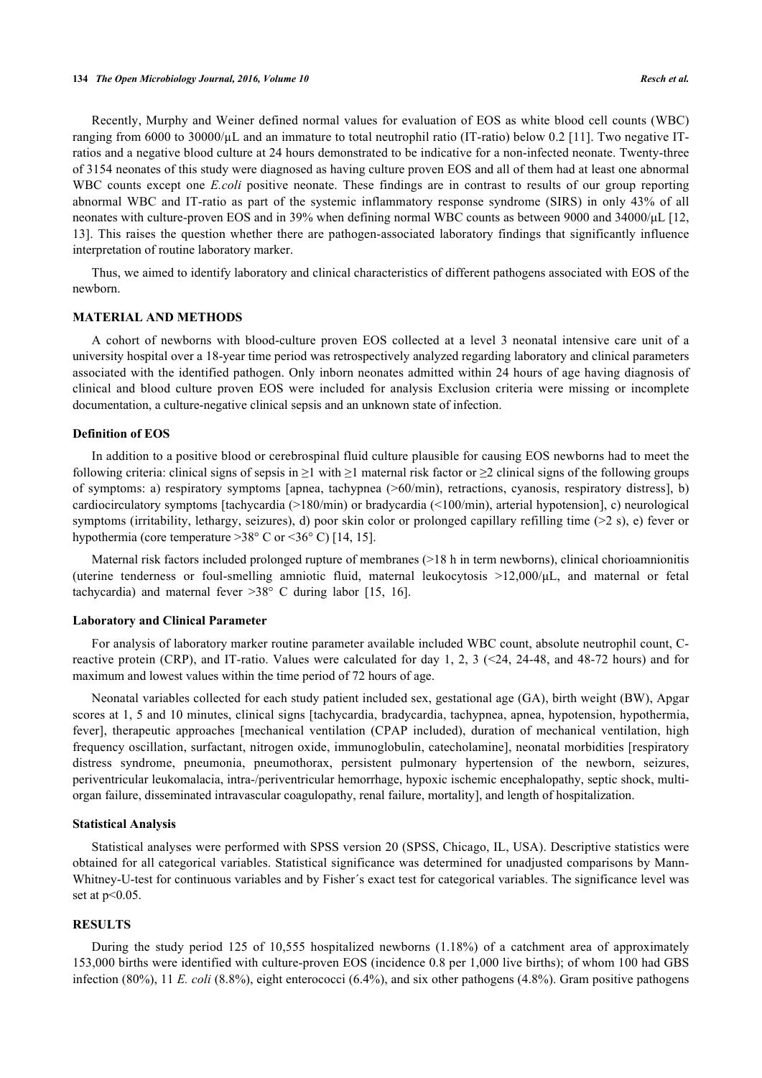Recently, Murphy and Weiner defined normal values for evaluation of EOS as white blood cell counts (WBC) ranging from 6000 to 30000/µL and an immature to total neutrophil ratio (IT-ratio) below 0.2 [[11](#page-5-7)]. Two negative ITratios and a negative blood culture at 24 hours demonstrated to be indicative for a non-infected neonate. Twenty-three of 3154 neonates of this study were diagnosed as having culture proven EOS and all of them had at least one abnormal WBC counts except one *E.coli* positive neonate. These findings are in contrast to results of our group reporting abnormal WBC and IT-ratio as part of the systemic inflammatory response syndrome (SIRS) in only 43% of all neonates with culture-proven EOS and in 39% when defining normal WBC counts as between 9000 and 34000/μL [[12](#page-5-8), [13\]](#page-5-9). This raises the question whether there are pathogen-associated laboratory findings that significantly influence interpretation of routine laboratory marker.

Thus, we aimed to identify laboratory and clinical characteristics of different pathogens associated with EOS of the newborn.

# **MATERIAL AND METHODS**

A cohort of newborns with blood-culture proven EOS collected at a level 3 neonatal intensive care unit of a university hospital over a 18-year time period was retrospectively analyzed regarding laboratory and clinical parameters associated with the identified pathogen. Only inborn neonates admitted within 24 hours of age having diagnosis of clinical and blood culture proven EOS were included for analysis Exclusion criteria were missing or incomplete documentation, a culture-negative clinical sepsis and an unknown state of infection.

#### **Definition of EOS**

In addition to a positive blood or cerebrospinal fluid culture plausible for causing EOS newborns had to meet the following criteria: clinical signs of sepsis in  $\geq 1$  with  $\geq 1$  maternal risk factor or  $\geq 2$  clinical signs of the following groups of symptoms: a) respiratory symptoms [apnea, tachypnea (>60/min), retractions, cyanosis, respiratory distress], b) cardiocirculatory symptoms [tachycardia (>180/min) or bradycardia (<100/min), arterial hypotension], c) neurological symptoms (irritability, lethargy, seizures), d) poor skin color or prolonged capillary refilling time (>2 s), e) fever or hypothermia (core temperature  $>38^{\circ}$  C or  $<36^{\circ}$  C) [\[14](#page-5-10), [15](#page-5-11)].

Maternal risk factors included prolonged rupture of membranes (>18 h in term newborns), clinical chorioamnionitis (uterine tenderness or foul-smelling amniotic fluid, maternal leukocytosis >12,000/μL, and maternal or fetal tachycardia) and maternal fever >38° C during labor [\[15](#page-5-11), [16](#page-5-12)].

#### **Laboratory and Clinical Parameter**

For analysis of laboratory marker routine parameter available included WBC count, absolute neutrophil count, Creactive protein (CRP), and IT-ratio. Values were calculated for day 1, 2, 3 ( $\leq$ 24, 24-48, and 48-72 hours) and for maximum and lowest values within the time period of 72 hours of age.

Neonatal variables collected for each study patient included sex, gestational age (GA), birth weight (BW), Apgar scores at 1, 5 and 10 minutes, clinical signs [tachycardia, bradycardia, tachypnea, apnea, hypotension, hypothermia, fever], therapeutic approaches [mechanical ventilation (CPAP included), duration of mechanical ventilation, high frequency oscillation, surfactant, nitrogen oxide, immunoglobulin, catecholamine], neonatal morbidities [respiratory distress syndrome, pneumonia, pneumothorax, persistent pulmonary hypertension of the newborn, seizures, periventricular leukomalacia, intra-/periventricular hemorrhage, hypoxic ischemic encephalopathy, septic shock, multiorgan failure, disseminated intravascular coagulopathy, renal failure, mortality], and length of hospitalization.

#### **Statistical Analysis**

Statistical analyses were performed with SPSS version 20 (SPSS, Chicago, IL, USA). Descriptive statistics were obtained for all categorical variables. Statistical significance was determined for unadjusted comparisons by Mann-Whitney-U-test for continuous variables and by Fisher´s exact test for categorical variables. The significance level was set at  $p<0.05$ .

### **RESULTS**

During the study period 125 of 10,555 hospitalized newborns (1.18%) of a catchment area of approximately 153,000 births were identified with culture-proven EOS (incidence 0.8 per 1,000 live births); of whom 100 had GBS infection (80%), 11 *E. coli* (8.8%), eight enterococci (6.4%), and six other pathogens (4.8%). Gram positive pathogens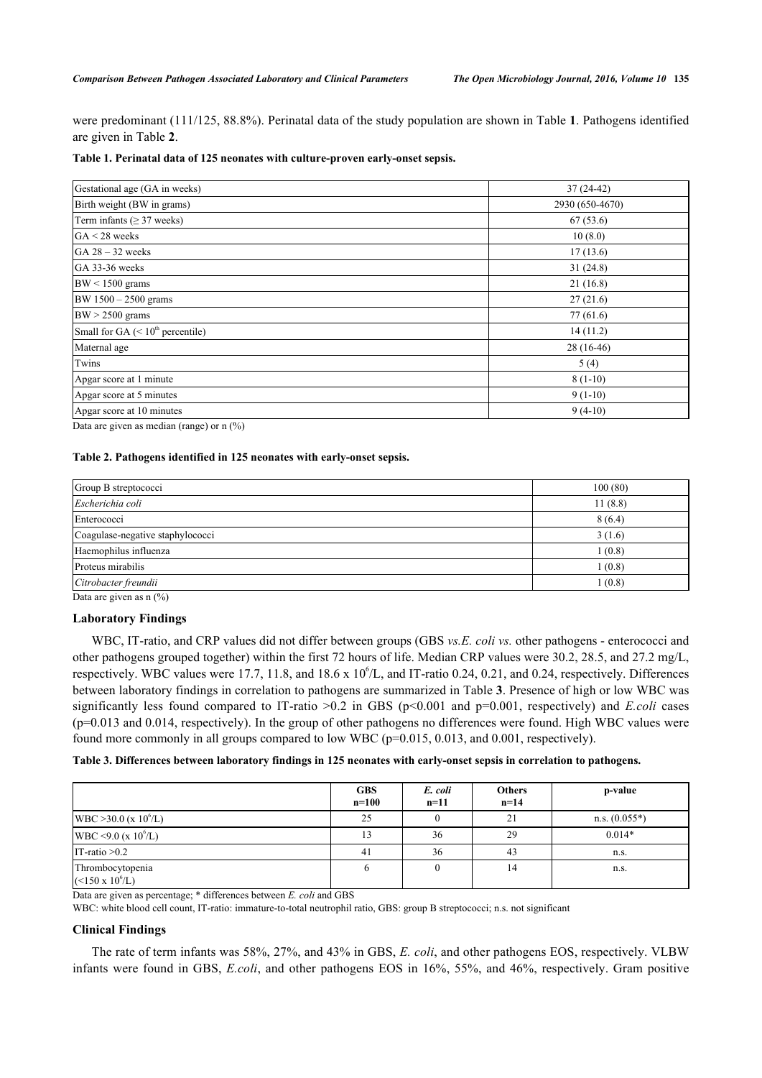were predominant (111/125, 88.8%). Perinatal data of the study population are shown in Table **[1](#page-2-0)**. Pathogens identified are given in Table **[2](#page-2-1)**.

#### <span id="page-2-0"></span>**Table 1. Perinatal data of 125 neonates with culture-proven early-onset sepsis.**

| Gestational age (GA in weeks)      | $37(24-42)$     |
|------------------------------------|-----------------|
| Birth weight (BW in grams)         | 2930 (650-4670) |
| Term infants ( $\geq$ 37 weeks)    | 67(53.6)        |
| $GA < 28$ weeks                    | 10(8.0)         |
| $GA 28 - 32$ weeks                 | 17(13.6)        |
| GA 33-36 weeks                     | 31(24.8)        |
| $BW < 1500$ grams                  | 21(16.8)        |
| BW 1500 - 2500 grams               | 27(21.6)        |
| $BW > 2500$ grams                  | 77(61.6)        |
| Small for GA $(< 10th$ percentile) | 14(11.2)        |
| Maternal age                       | $28(16-46)$     |
| Twins                              | 5(4)            |
| Apgar score at 1 minute            | $8(1-10)$       |
| Apgar score at 5 minutes           | $9(1-10)$       |
| Apgar score at 10 minutes          | $9(4-10)$       |

Data are given as median (range) or n  $(\%)$ 

# <span id="page-2-1"></span>**Table 2. Pathogens identified in 125 neonates with early-onset sepsis.**

| Group B streptococci             | 100(80) |
|----------------------------------|---------|
| Escherichia coli                 | 11(8.8) |
| Enterococci                      | 8(6.4)  |
| Coagulase-negative staphylococci | 3(1.6)  |
| Haemophilus influenza            | 1(0.8)  |
| Proteus mirabilis                | 1(0.8)  |
| Citrobacter freundii             | 1(0.8)  |
| Data are given as $n(0/2)$       |         |

Data are given as  $n$  (%)

### **Laboratory Findings**

WBC, IT-ratio, and CRP values did not differ between groups (GBS *vs.E. coli vs.* other pathogens - enterococci and other pathogens grouped together) within the first 72 hours of life. Median CRP values were 30.2, 28.5, and 27.2 mg/L, respectively. WBC values were 17.7, 11.8, and 18.6 x  $10^6$ /L, and IT-ratio 0.24, 0.21, and 0.24, respectively. Differences between laboratory findings in correlation to pathogens are summarized in Table **[3](#page-2-2)**. Presence of high or low WBC was significantly less found compared to IT-ratio >0.2 in GBS (p<0.001 and p=0.001, respectively) and *E.coli* cases (p=0.013 and 0.014, respectively). In the group of other pathogens no differences were found. High WBC values were found more commonly in all groups compared to low WBC (p=0.015, 0.013, and 0.001, respectively).

# <span id="page-2-2"></span>**Table 3. Differences between laboratory findings in 125 neonates with early-onset sepsis in correlation to pathogens.**

|                                                 | <b>GBS</b><br>$n=100$ | E. coli<br>$n=11$ | <b>Others</b><br>$n=14$ | p-value         |
|-------------------------------------------------|-----------------------|-------------------|-------------------------|-----------------|
| WBC $>30.0$ (x 10 <sup>6</sup> /L)              | 25                    |                   | 21                      | $n.s. (0.055*)$ |
| WBC <9.0 (x $10^6$ /L)                          |                       | 36                | 29                      | $0.014*$        |
| IT-ratio $>0.2$                                 | 41                    | 36                | 43                      | n.s.            |
| Thrombocytopenia<br>$(<150 \text{ x } 10^6$ /L) |                       |                   | 14                      | n.s.            |

Data are given as percentage; \* differences between *E. coli* and GBS

WBC: white blood cell count, IT-ratio: immature-to-total neutrophil ratio, GBS: group B streptococci; n.s. not significant

# **Clinical Findings**

The rate of term infants was 58%, 27%, and 43% in GBS, *E. coli*, and other pathogens EOS, respectively. VLBW infants were found in GBS, *E.coli*, and other pathogens EOS in 16%, 55%, and 46%, respectively. Gram positive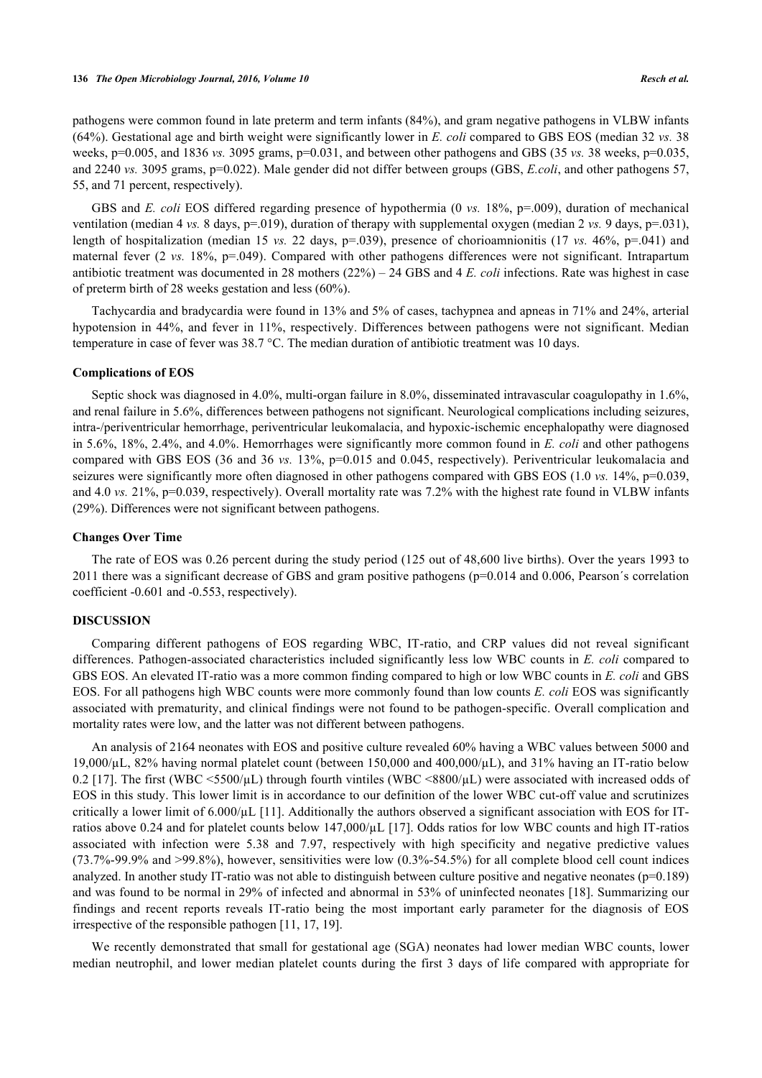pathogens were common found in late preterm and term infants (84%), and gram negative pathogens in VLBW infants (64%). Gestational age and birth weight were significantly lower in *E. coli* compared to GBS EOS (median 32 *vs.* 38 weeks, p=0.005, and 1836 *vs.* 3095 grams, p=0.031, and between other pathogens and GBS (35 *vs.* 38 weeks, p=0.035, and 2240 *vs.* 3095 grams, p=0.022). Male gender did not differ between groups (GBS, *E.coli*, and other pathogens 57, 55, and 71 percent, respectively).

GBS and *E. coli* EOS differed regarding presence of hypothermia (0 *vs.* 18%, p=.009), duration of mechanical ventilation (median 4 *vs.* 8 days, p=.019), duration of therapy with supplemental oxygen (median 2 *vs.* 9 days, p=.031), length of hospitalization (median 15 *vs.* 22 days, p=.039), presence of chorioamnionitis (17 *vs.* 46%, p=.041) and maternal fever (2 *vs.* 18%, p=.049). Compared with other pathogens differences were not significant. Intrapartum antibiotic treatment was documented in 28 mothers (22%) – 24 GBS and 4 *E. coli* infections. Rate was highest in case of preterm birth of 28 weeks gestation and less (60%).

Tachycardia and bradycardia were found in 13% and 5% of cases, tachypnea and apneas in 71% and 24%, arterial hypotension in 44%, and fever in 11%, respectively. Differences between pathogens were not significant. Median temperature in case of fever was 38.7 °C. The median duration of antibiotic treatment was 10 days.

#### **Complications of EOS**

Septic shock was diagnosed in 4.0%, multi-organ failure in 8.0%, disseminated intravascular coagulopathy in 1.6%, and renal failure in 5.6%, differences between pathogens not significant. Neurological complications including seizures, intra-/periventricular hemorrhage, periventricular leukomalacia, and hypoxic-ischemic encephalopathy were diagnosed in 5.6%, 18%, 2.4%, and 4.0%. Hemorrhages were significantly more common found in *E. coli* and other pathogens compared with GBS EOS (36 and 36 *vs.* 13%, p=0.015 and 0.045, respectively). Periventricular leukomalacia and seizures were significantly more often diagnosed in other pathogens compared with GBS EOS (1.0 *vs.* 14%, p=0.039, and 4.0 *vs.* 21%, p=0.039, respectively). Overall mortality rate was 7.2% with the highest rate found in VLBW infants (29%). Differences were not significant between pathogens.

### **Changes Over Time**

The rate of EOS was 0.26 percent during the study period (125 out of 48,600 live births). Over the years 1993 to 2011 there was a significant decrease of GBS and gram positive pathogens (p=0.014 and 0.006, Pearson´s correlation coefficient -0.601 and -0.553, respectively).

#### **DISCUSSION**

Comparing different pathogens of EOS regarding WBC, IT-ratio, and CRP values did not reveal significant differences. Pathogen-associated characteristics included significantly less low WBC counts in *E. coli* compared to GBS EOS. An elevated IT-ratio was a more common finding compared to high or low WBC counts in *E. coli* and GBS EOS. For all pathogens high WBC counts were more commonly found than low counts *E. coli* EOS was significantly associated with prematurity, and clinical findings were not found to be pathogen-specific. Overall complication and mortality rates were low, and the latter was not different between pathogens.

An analysis of 2164 neonates with EOS and positive culture revealed 60% having a WBC values between 5000 and 19,000/µL, 82% having normal platelet count (between 150,000 and 400,000/µL), and 31% having an IT-ratio below 0.2 [[17\]](#page-5-13). The first (WBC  $\leq 5500/\mu$ L) through fourth vintiles (WBC  $\leq 8800/\mu$ L) were associated with increased odds of EOS in this study. This lower limit is in accordance to our definition of the lower WBC cut-off value and scrutinizes critically a lower limit of  $6.000/\mu$ L [\[11](#page-5-7)]. Additionally the authors observed a significant association with EOS for ITratios above 0.24 and for platelet counts below 147,000/µL [[17](#page-5-13)]. Odds ratios for low WBC counts and high IT-ratios associated with infection were 5.38 and 7.97, respectively with high specificity and negative predictive values (73.7%-99.9% and >99.8%), however, sensitivities were low (0.3%-54.5%) for all complete blood cell count indices analyzed. In another study IT-ratio was not able to distinguish between culture positive and negative neonates ( $p=0.189$ ) and was found to be normal in 29% of infected and abnormal in 53% of uninfected neonates [[18](#page-5-14)]. Summarizing our findings and recent reports reveals IT-ratio being the most important early parameter for the diagnosis of EOS irrespective of the responsible pathogen [[11,](#page-5-7) [17,](#page-5-13) [19\]](#page-5-15).

We recently demonstrated that small for gestational age (SGA) neonates had lower median WBC counts, lower median neutrophil, and lower median platelet counts during the first 3 days of life compared with appropriate for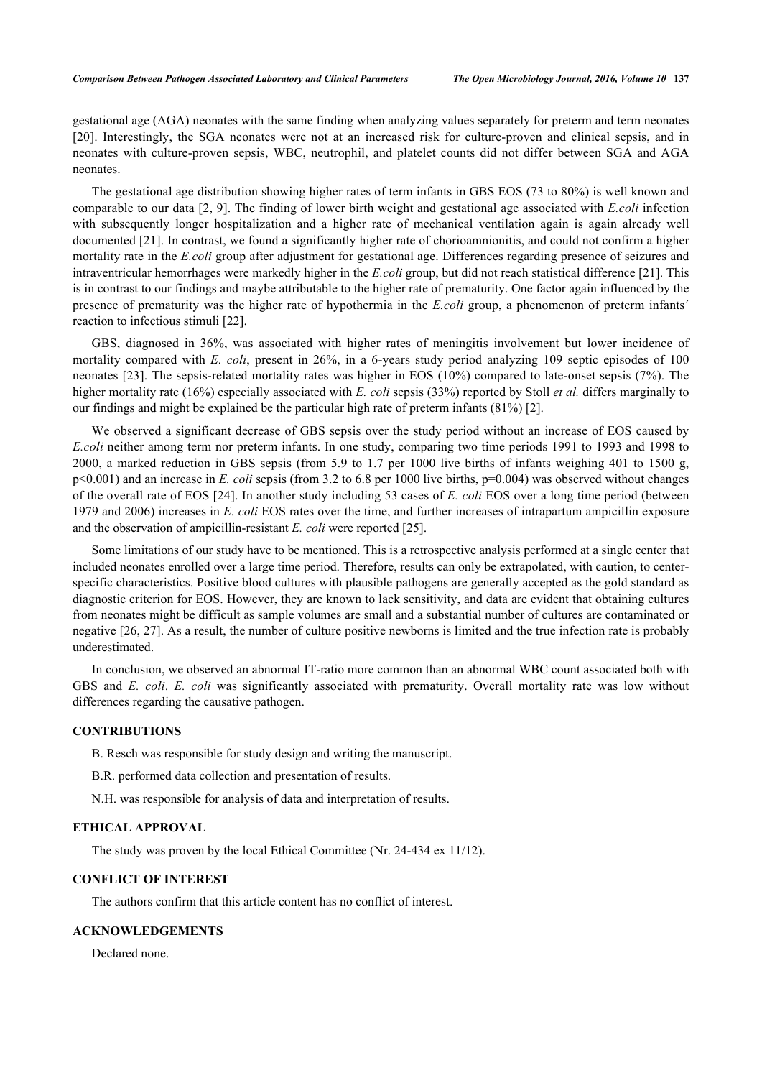gestational age (AGA) neonates with the same finding when analyzing values separately for preterm and term neonates [\[20](#page-5-16)]. Interestingly, the SGA neonates were not at an increased risk for culture-proven and clinical sepsis, and in neonates with culture-proven sepsis, WBC, neutrophil, and platelet counts did not differ between SGA and AGA neonates.

The gestational age distribution showing higher rates of term infants in GBS EOS (73 to 80%) is well known and comparable to our data [[2,](#page-5-1) [9](#page-5-5)]. The finding of lower birth weight and gestational age associated with *E.coli* infection with subsequently longer hospitalization and a higher rate of mechanical ventilation again is again already well documented [\[21](#page-6-0)]. In contrast, we found a significantly higher rate of chorioamnionitis, and could not confirm a higher mortality rate in the *E.coli* group after adjustment for gestational age. Differences regarding presence of seizures and intraventricular hemorrhages were markedly higher in the *E.coli* group, but did not reach statistical difference [\[21](#page-6-0)]. This is in contrast to our findings and maybe attributable to the higher rate of prematurity. One factor again influenced by the presence of prematurity was the higher rate of hypothermia in the *E.coli* group, a phenomenon of preterm infants´ reaction to infectious stimuli [\[22](#page-6-1)].

GBS, diagnosed in 36%, was associated with higher rates of meningitis involvement but lower incidence of mortality compared with *E. coli*, present in 26%, in a 6-years study period analyzing 109 septic episodes of 100 neonates [\[23](#page-6-2)]. The sepsis-related mortality rates was higher in EOS (10%) compared to late-onset sepsis (7%). The higher mortality rate (16%) especially associated with *E. coli* sepsis (33%) reported by Stoll *et al.* differs marginally to our findings and might be explained be the particular high rate of preterm infants (81%) [\[2](#page-5-1)].

We observed a significant decrease of GBS sepsis over the study period without an increase of EOS caused by *E.coli* neither among term nor preterm infants. In one study, comparing two time periods 1991 to 1993 and 1998 to 2000, a marked reduction in GBS sepsis (from 5.9 to 1.7 per 1000 live births of infants weighing 401 to 1500 g, p<0.001) and an increase in *E. coli* sepsis (from 3.2 to 6.8 per 1000 live births, p=0.004) was observed without changes of the overall rate of EOS [[24](#page-6-3)]. In another study including 53 cases of *E. coli* EOS over a long time period (between 1979 and 2006) increases in *E. coli* EOS rates over the time, and further increases of intrapartum ampicillin exposure and the observation of ampicillin-resistant *E. coli* were reported [[25\]](#page-6-4).

Some limitations of our study have to be mentioned. This is a retrospective analysis performed at a single center that included neonates enrolled over a large time period. Therefore, results can only be extrapolated, with caution, to centerspecific characteristics. Positive blood cultures with plausible pathogens are generally accepted as the gold standard as diagnostic criterion for EOS. However, they are known to lack sensitivity, and data are evident that obtaining cultures from neonates might be difficult as sample volumes are small and a substantial number of cultures are contaminated or negative [[26,](#page-6-5) [27](#page-6-6)]. As a result, the number of culture positive newborns is limited and the true infection rate is probably underestimated.

In conclusion, we observed an abnormal IT-ratio more common than an abnormal WBC count associated both with GBS and *E. coli*. *E. coli* was significantly associated with prematurity. Overall mortality rate was low without differences regarding the causative pathogen.

# **CONTRIBUTIONS**

B. Resch was responsible for study design and writing the manuscript.

B.R. performed data collection and presentation of results.

N.H. was responsible for analysis of data and interpretation of results.

#### **ETHICAL APPROVAL**

The study was proven by the local Ethical Committee (Nr. 24-434 ex 11/12).

#### **CONFLICT OF INTEREST**

The authors confirm that this article content has no conflict of interest.

# **ACKNOWLEDGEMENTS**

Declared none.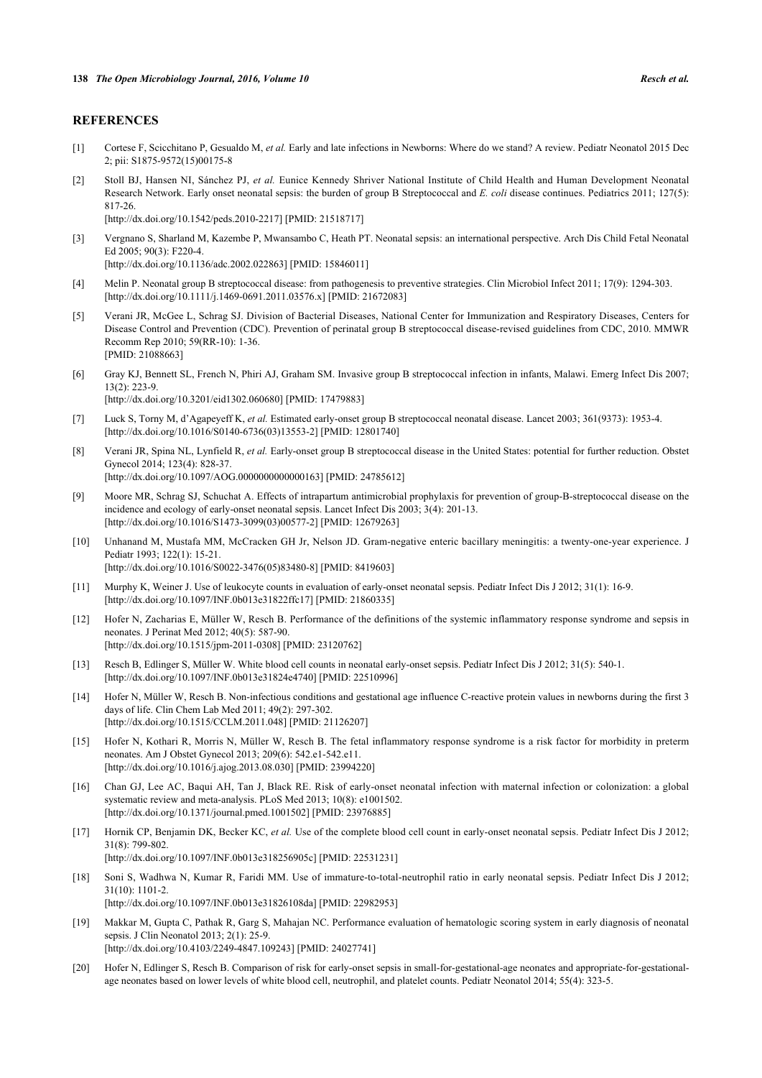# **REFERENCES**

- <span id="page-5-0"></span>[1] Cortese F, Scicchitano P, Gesualdo M, *et al.* Early and late infections in Newborns: Where do we stand? A review. Pediatr Neonatol 2015 Dec 2; pii: S1875-9572(15)00175-8
- <span id="page-5-1"></span>[2] Stoll BJ, Hansen NI, Sánchez PJ, *et al.* Eunice Kennedy Shriver National Institute of Child Health and Human Development Neonatal Research Network. Early onset neonatal sepsis: the burden of group B Streptococcal and *E. coli* disease continues. Pediatrics 2011; 127(5): 817-26.

[\[http://dx.doi.org/10.1542/peds.2010-2217](http://dx.doi.org/10.1542/peds.2010-2217)] [PMID: [21518717\]](http://www.ncbi.nlm.nih.gov/pubmed/21518717)

- <span id="page-5-2"></span>[3] Vergnano S, Sharland M, Kazembe P, Mwansambo C, Heath PT. Neonatal sepsis: an international perspective. Arch Dis Child Fetal Neonatal Ed 2005; 90(3): F220-4. [\[http://dx.doi.org/10.1136/adc.2002.022863\]](http://dx.doi.org/10.1136/adc.2002.022863) [PMID: [15846011](http://www.ncbi.nlm.nih.gov/pubmed/15846011)]
- <span id="page-5-3"></span>[4] Melin P. Neonatal group B streptococcal disease: from pathogenesis to preventive strategies. Clin Microbiol Infect 2011; 17(9): 1294-303. [\[http://dx.doi.org/10.1111/j.1469-0691.2011.03576.x\]](http://dx.doi.org/10.1111/j.1469-0691.2011.03576.x) [PMID: [21672083](http://www.ncbi.nlm.nih.gov/pubmed/21672083)]
- [5] Verani JR, McGee L, Schrag SJ. Division of Bacterial Diseases, National Center for Immunization and Respiratory Diseases, Centers for Disease Control and Prevention (CDC). Prevention of perinatal group B streptococcal disease-revised guidelines from CDC, 2010. MMWR Recomm Rep 2010; 59(RR-10): 1-36. [PMID: [21088663\]](http://www.ncbi.nlm.nih.gov/pubmed/21088663)
- [6] Gray KJ, Bennett SL, French N, Phiri AJ, Graham SM. Invasive group B streptococcal infection in infants, Malawi. Emerg Infect Dis 2007; 13(2): 223-9.
	- [\[http://dx.doi.org/10.3201/eid1302.060680\]](http://dx.doi.org/10.3201/eid1302.060680) [PMID: [17479883](http://www.ncbi.nlm.nih.gov/pubmed/17479883)]
- [7] Luck S, Torny M, d'Agapeyeff K, *et al.* Estimated early-onset group B streptococcal neonatal disease. Lancet 2003; 361(9373): 1953-4. [\[http://dx.doi.org/10.1016/S0140-6736\(03\)13553-2\]](http://dx.doi.org/10.1016/S0140-6736(03)13553-2) [PMID: [12801740](http://www.ncbi.nlm.nih.gov/pubmed/12801740)]
- <span id="page-5-4"></span>[8] Verani JR, Spina NL, Lynfield R, *et al.* Early-onset group B streptococcal disease in the United States: potential for further reduction. Obstet Gynecol 2014; 123(4): 828-37. [\[http://dx.doi.org/10.1097/AOG.0000000000000163](http://dx.doi.org/10.1097/AOG.0000000000000163)] [PMID: [24785612\]](http://www.ncbi.nlm.nih.gov/pubmed/24785612)
- <span id="page-5-5"></span>[9] Moore MR, Schrag SJ, Schuchat A. Effects of intrapartum antimicrobial prophylaxis for prevention of group-B-streptococcal disease on the incidence and ecology of early-onset neonatal sepsis. Lancet Infect Dis 2003; 3(4): 201-13. [\[http://dx.doi.org/10.1016/S1473-3099\(03\)00577-2\]](http://dx.doi.org/10.1016/S1473-3099(03)00577-2) [PMID: [12679263](http://www.ncbi.nlm.nih.gov/pubmed/12679263)]
- <span id="page-5-6"></span>[10] Unhanand M, Mustafa MM, McCracken GH Jr, Nelson JD. Gram-negative enteric bacillary meningitis: a twenty-one-year experience. J Pediatr 1993; 122(1): 15-21. [\[http://dx.doi.org/10.1016/S0022-3476\(05\)83480-8\]](http://dx.doi.org/10.1016/S0022-3476(05)83480-8) [PMID: [8419603](http://www.ncbi.nlm.nih.gov/pubmed/8419603)]
- <span id="page-5-7"></span>[11] Murphy K, Weiner J. Use of leukocyte counts in evaluation of early-onset neonatal sepsis. Pediatr Infect Dis J 2012; 31(1): 16-9. [\[http://dx.doi.org/10.1097/INF.0b013e31822ffc17](http://dx.doi.org/10.1097/INF.0b013e31822ffc17)] [PMID: [21860335\]](http://www.ncbi.nlm.nih.gov/pubmed/21860335)
- <span id="page-5-8"></span>[12] Hofer N, Zacharias E, Müller W, Resch B. Performance of the definitions of the systemic inflammatory response syndrome and sepsis in neonates. J Perinat Med 2012; 40(5): 587-90. [\[http://dx.doi.org/10.1515/jpm-2011-0308\]](http://dx.doi.org/10.1515/jpm-2011-0308) [PMID: [23120762](http://www.ncbi.nlm.nih.gov/pubmed/23120762)]
- <span id="page-5-9"></span>[13] Resch B, Edlinger S, Müller W. White blood cell counts in neonatal early-onset sepsis. Pediatr Infect Dis J 2012; 31(5): 540-1. [\[http://dx.doi.org/10.1097/INF.0b013e31824e4740\]](http://dx.doi.org/10.1097/INF.0b013e31824e4740) [PMID: [22510996](http://www.ncbi.nlm.nih.gov/pubmed/22510996)]
- <span id="page-5-10"></span>[14] Hofer N, Müller W, Resch B. Non-infectious conditions and gestational age influence C-reactive protein values in newborns during the first 3 days of life. Clin Chem Lab Med 2011; 49(2): 297-302. [\[http://dx.doi.org/10.1515/CCLM.2011.048](http://dx.doi.org/10.1515/CCLM.2011.048)] [PMID: [21126207](http://www.ncbi.nlm.nih.gov/pubmed/21126207)]
- <span id="page-5-11"></span>[15] Hofer N, Kothari R, Morris N, Müller W, Resch B. The fetal inflammatory response syndrome is a risk factor for morbidity in preterm neonates. Am J Obstet Gynecol 2013; 209(6): 542.e1-542.e11. [\[http://dx.doi.org/10.1016/j.ajog.2013.08.030\]](http://dx.doi.org/10.1016/j.ajog.2013.08.030) [PMID: [23994220](http://www.ncbi.nlm.nih.gov/pubmed/23994220)]
- <span id="page-5-12"></span>[16] Chan GJ, Lee AC, Baqui AH, Tan J, Black RE. Risk of early-onset neonatal infection with maternal infection or colonization: a global systematic review and meta-analysis. PLoS Med 2013; 10(8): e1001502. [\[http://dx.doi.org/10.1371/journal.pmed.1001502](http://dx.doi.org/10.1371/journal.pmed.1001502)] [PMID: [23976885\]](http://www.ncbi.nlm.nih.gov/pubmed/23976885)
- <span id="page-5-13"></span>[17] Hornik CP, Benjamin DK, Becker KC, *et al.* Use of the complete blood cell count in early-onset neonatal sepsis. Pediatr Infect Dis J 2012; 31(8): 799-802. [\[http://dx.doi.org/10.1097/INF.0b013e318256905c\]](http://dx.doi.org/10.1097/INF.0b013e318256905c) [PMID: [22531231](http://www.ncbi.nlm.nih.gov/pubmed/22531231)]
- <span id="page-5-14"></span>[18] Soni S, Wadhwa N, Kumar R, Faridi MM. Use of immature-to-total-neutrophil ratio in early neonatal sepsis. Pediatr Infect Dis J 2012; 31(10): 1101-2.
	- [\[http://dx.doi.org/10.1097/INF.0b013e31826108da\]](http://dx.doi.org/10.1097/INF.0b013e31826108da) [PMID: [22982953](http://www.ncbi.nlm.nih.gov/pubmed/22982953)]
- <span id="page-5-15"></span>[19] Makkar M, Gupta C, Pathak R, Garg S, Mahajan NC. Performance evaluation of hematologic scoring system in early diagnosis of neonatal sepsis. J Clin Neonatol 2013; 2(1): 25-9. [\[http://dx.doi.org/10.4103/2249-4847.109243](http://dx.doi.org/10.4103/2249-4847.109243)] [PMID: [24027741](http://www.ncbi.nlm.nih.gov/pubmed/24027741)]
- <span id="page-5-16"></span>[20] Hofer N, Edlinger S, Resch B. Comparison of risk for early-onset sepsis in small-for-gestational-age neonates and appropriate-for-gestationalage neonates based on lower levels of white blood cell, neutrophil, and platelet counts. Pediatr Neonatol 2014; 55(4): 323-5.